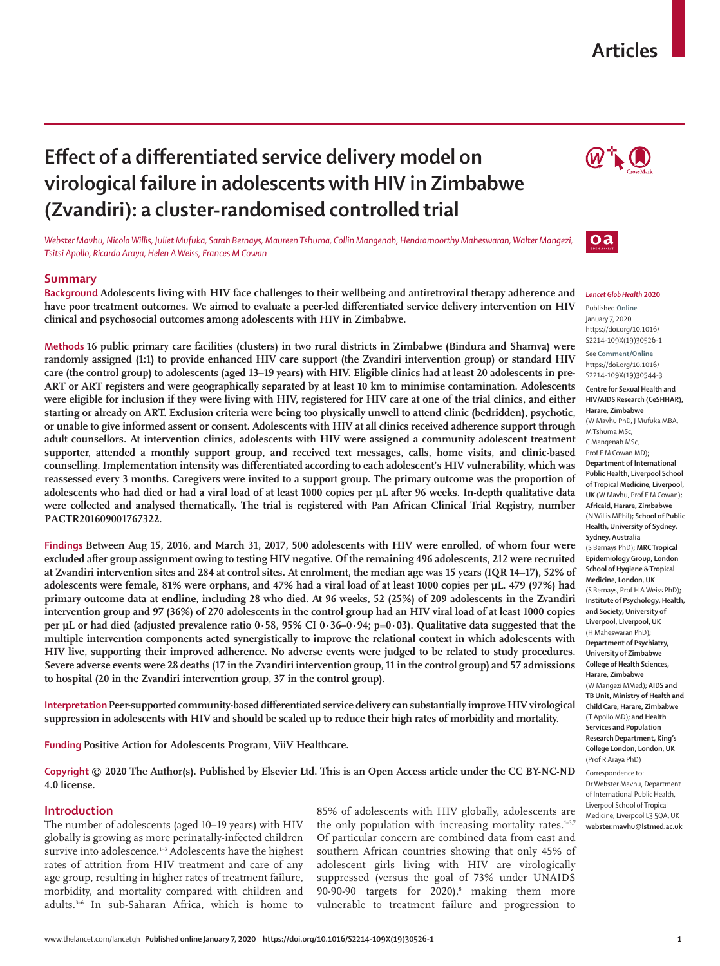## **Articles**

# **Effect of a differentiated service delivery model on virological failure in adolescents with HIV in Zimbabwe (Zvandiri): a cluster-randomised controlled trial**

*Webster Mavhu, Nicola Willis, Juliet Mufuka, Sarah Bernays, Maureen Tshuma, Collin Mangenah, Hendramoorthy Maheswaran, Walter Mangezi, Tsitsi Apollo, Ricardo Araya, Helen A Weiss, Frances M Cowan*

#### **Summary**

**Background Adolescents living with HIV face challenges to their wellbeing and antiretroviral therapy adherence and have poor treatment outcomes. We aimed to evaluate a peer-led differentiated service delivery intervention on HIV clinical and psychosocial outcomes among adolescents with HIV in Zimbabwe.**

**Methods 16 public primary care facilities (clusters) in two rural districts in Zimbabwe (Bindura and Shamva) were randomly assigned (1:1) to provide enhanced HIV care support (the Zvandiri intervention group) or standard HIV care (the control group) to adolescents (aged 13–19 years) with HIV. Eligible clinics had at least 20 adolescents in pre-ART or ART registers and were geographically separated by at least 10 km to minimise contamination. Adolescents were eligible for inclusion if they were living with HIV, registered for HIV care at one of the trial clinics, and either starting or already on ART. Exclusion criteria were being too physically unwell to attend clinic (bedridden), psychotic, or unable to give informed assent or consent. Adolescents with HIV at all clinics received adherence support through adult counsellors. At intervention clinics, adolescents with HIV were assigned a community adolescent treatment supporter, attended a monthly support group, and received text messages, calls, home visits, and clinic-based counselling. Implementation intensity was differentiated according to each adolescent's HIV vulnerability, which was reassessed every 3 months. Caregivers were invited to a support group. The primary outcome was the proportion of adolescents who had died or had a viral load of at least 1000 copies per μL after 96 weeks. In-depth qualitative data were collected and analysed thematically. The trial is registered with Pan African Clinical Trial Registry, number PACTR201609001767322.**

**Findings Between Aug 15, 2016, and March 31, 2017, 500 adolescents with HIV were enrolled, of whom four were excluded after group assignment owing to testing HIV negative. Of the remaining 496 adolescents, 212 were recruited at Zvandiri intervention sites and 284 at control sites. At enrolment, the median age was 15 years (IQR 14–17), 52% of adolescents were female, 81% were orphans, and 47% had a viral load of at least 1000 copies per μL. 479 (97%) had primary outcome data at endline, including 28 who died. At 96 weeks, 52 (25%) of 209 adolescents in the Zvandiri intervention group and 97 (36%) of 270 adolescents in the control group had an HIV viral load of at least 1000 copies per µL or had died (adjusted prevalence ratio 0·58, 95% CI 0·36–0·94; p=0·03). Qualitative data suggested that the multiple intervention components acted synergistically to improve the relational context in which adolescents with HIV live, supporting their improved adherence. No adverse events were judged to be related to study procedures. Severe adverse events were 28 deaths (17 in the Zvandiri intervention group, 11 in the control group) and 57 admissions to hospital (20 in the Zvandiri intervention group, 37 in the control group).**

**Interpretation Peer-supported community-based differentiated service delivery can substantially improve HIV virological suppression in adolescents with HIV and should be scaled up to reduce their high rates of morbidity and mortality.**

**Funding Positive Action for Adolescents Program, ViiV Healthcare.**

**Copyright © 2020 The Author(s). Published by Elsevier Ltd. This is an Open Access article under the CC BY-NC-ND 4.0 license.**

## **Introduction**

The number of adolescents (aged 10–19 years) with HIV globally is growing as more perinatally-infected children survive into adolescence.<sup>1-3</sup> Adolescents have the highest rates of attrition from HIV treatment and care of any age group, resulting in higher rates of treatment failure, morbidity, and mortality compared with children and adults.3–6 In sub-Saharan Africa, which is home to 85% of adolescents with HIV globally, adolescents are the only population with increasing mortality rates. $1-3,7$ Of particular concern are combined data from east and southern African countries showing that only 45% of adolescent girls living with HIV are virologically suppressed (versus the goal of 73% under UNAIDS 90-90-90 targets for  $2020$ ,<sup>8</sup> making them more vulnerable to treatment failure and progression to





#### *Lancet Glob Health* **2020**

Published **Online** January 7, 2020 https://doi.org/10.1016/ S2214-109X(19)30526-1

See **Comment/Online**

https://doi.org/10.1016/ S2214-109X(19)30544-3 **Centre for Sexual Health and HIV/AIDS Research (CeSHHAR), Harare, Zimbabwe**  (W Mavhu PhD, J Mufuka MBA, M Tshuma MSc, C Mangenah MSc, Prof F M Cowan MD)**; Department of International Public Health, Liverpool School of Tropical Medicine, Liverpool, UK** (W Mavhu, Prof F M Cowan)**; Africaid, Harare, Zimbabwe**  (N Willis MPhil)**; School of Public Health, University of Sydney, Sydney, Australia**  (S Bernays PhD)**; MRC Tropical Epidemiology Group, London School of Hygiene & Tropical Medicine, London, UK**  (S Bernays, Prof H A Weiss PhD)**; Institute of Psychology, Health, and Society, University of Liverpool, Liverpool, UK**  (H Maheswaran PhD)**; Department of Psychiatry, University of Zimbabwe College of Health Sciences, Harare, Zimbabwe**  (W Mangezi MMed)**; AIDS and TB Unit, Ministry of Health and Child Care, Harare, Zimbabwe**  (T Apollo MD)**; and Health Services and Population Research Department, King's College London, London, UK**  (Prof R Araya PhD)

Correspondence to: Dr Webster Mavhu, Department of International Public Health, Liverpool School of Tropical Medicine, Liverpool L3 5QA, UK **webster.mavhu@lstmed.ac.uk**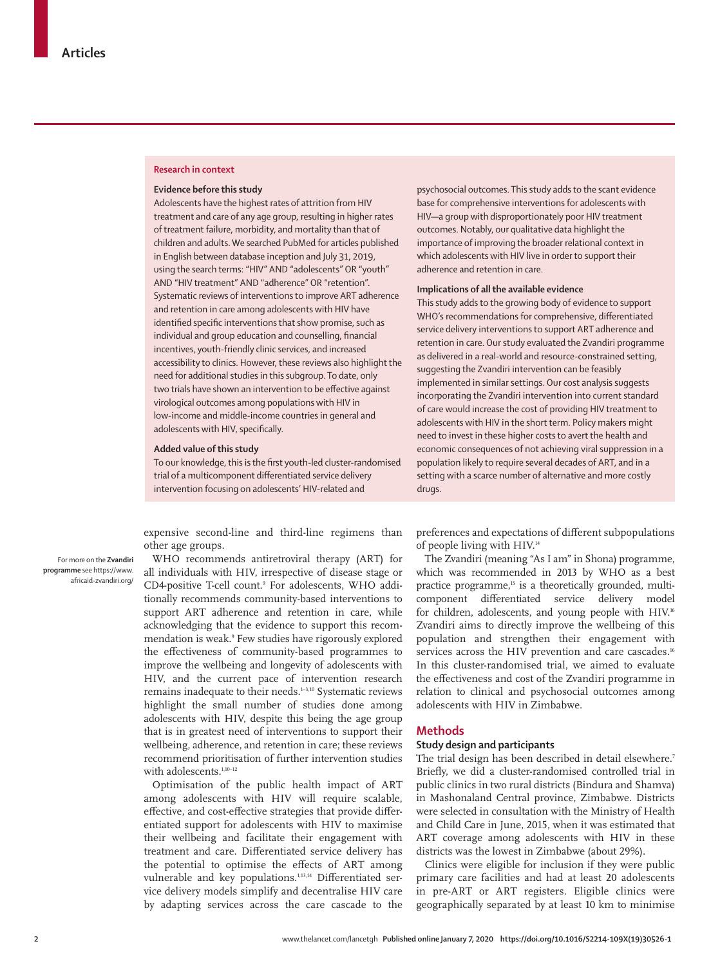#### **Research in context**

#### **Evidence before this study**

Adolescents have the highest rates of attrition from HIV treatment and care of any age group, resulting in higher rates of treatment failure, morbidity, and mortality than that of children and adults. We searched PubMed for articles published in English between database inception and July 31, 2019, using the search terms: "HIV" AND "adolescents" OR "youth" AND "HIV treatment" AND "adherence" OR "retention". Systematic reviews of interventions to improve ART adherence and retention in care among adolescents with HIV have identified specific interventions that show promise, such as individual and group education and counselling, financial incentives, youth-friendly clinic services, and increased accessibility to clinics. However, these reviews also highlight the need for additional studies in this subgroup. To date, only two trials have shown an intervention to be effective against virological outcomes among populations with HIV in low-income and middle-income countries in general and adolescents with HIV, specifically.

#### **Added value of this study**

To our knowledge, this is the first youth-led cluster-randomised trial of a multicomponent differentiated service delivery intervention focusing on adolescents' HIV-related and

psychosocial outcomes. This study adds to the scant evidence base for comprehensive interventions for adolescents with HIV—a group with disproportionately poor HIV treatment outcomes. Notably, our qualitative data highlight the importance of improving the broader relational context in which adolescents with HIV live in order to support their adherence and retention in care.

#### **Implications of all the available evidence**

This study adds to the growing body of evidence to support WHO's recommendations for comprehensive, differentiated service delivery interventions to support ART adherence and retention in care. Our study evaluated the Zvandiri programme as delivered in a real-world and resource-constrained setting, suggesting the Zvandiri intervention can be feasibly implemented in similar settings. Our cost analysis suggests incorporating the Zvandiri intervention into current standard of care would increase the cost of providing HIV treatment to adolescents with HIV in the short term. Policy makers might need to invest in these higher costs to avert the health and economic consequences of not achieving viral suppression in a population likely to require several decades of ART, and in a setting with a scarce number of alternative and more costly drugs.

expensive second-line and third-line regimens than other age groups.

WHO recommends antiretroviral therapy (ART) for all individuals with HIV, irrespective of disease stage or CD4-positive T-cell count.9 For adolescents, WHO additionally recommends community-based interventions to support ART adherence and retention in care, while acknowledging that the evidence to support this recommendation is weak.9 Few studies have rigorously explored the effectiveness of community-based programmes to improve the wellbeing and longevity of adolescents with HIV, and the current pace of intervention research remains inadequate to their needs.<sup>1-3,10</sup> Systematic reviews highlight the small number of studies done among adolescents with HIV, despite this being the age group that is in greatest need of interventions to support their wellbeing, adherence, and retention in care; these reviews recommend prioritisation of further intervention studies with adolescents.<sup>1,10-12</sup>

Optimisation of the public health impact of ART among adolescents with HIV will require scalable, effective, and cost-effective strategies that provide differentiated support for adolescents with HIV to maximise their wellbeing and facilitate their engagement with treatment and care. Differentiated service delivery has the potential to optimise the effects of ART among vulnerable and key populations.<sup>1,13,14</sup> Differentiated service delivery models simplify and decentralise HIV care by adapting services across the care cascade to the preferences and expectations of different subpopulations of people living with HIV.<sup>14</sup>

The [Zvandiri](https://www.africaid-zvandiri.org/) (meaning "As I am" in Shona) programme, which was recommended in 2013 by WHO as a best practice programme,<sup>15</sup> is a theoretically grounded, multicomponent differentiated service delivery model for children, adolescents, and young people with HIV.<sup>16</sup> Zvandiri aims to directly improve the wellbeing of this population and strengthen their engagement with services across the HIV prevention and care cascades.<sup>16</sup> In this cluster-randomised trial, we aimed to evaluate the effectiveness and cost of the Zvandiri programme in relation to clinical and psychosocial outcomes among adolescents with HIV in Zimbabwe.

#### **Methods**

#### **Study design and participants**

The trial design has been described in detail elsewhere.<sup>7</sup> Briefly, we did a cluster-randomised controlled trial in public clinics in two rural districts (Bindura and Shamva) in Mashonaland Central province, Zimbabwe. Districts were selected in consultation with the Ministry of Health and Child Care in June, 2015, when it was estimated that ART coverage among adolescents with HIV in these districts was the lowest in Zimbabwe (about 29%).

Clinics were eligible for inclusion if they were public primary care facilities and had at least 20 adolescents in pre-ART or ART registers. Eligible clinics were geographically separated by at least 10 km to minimise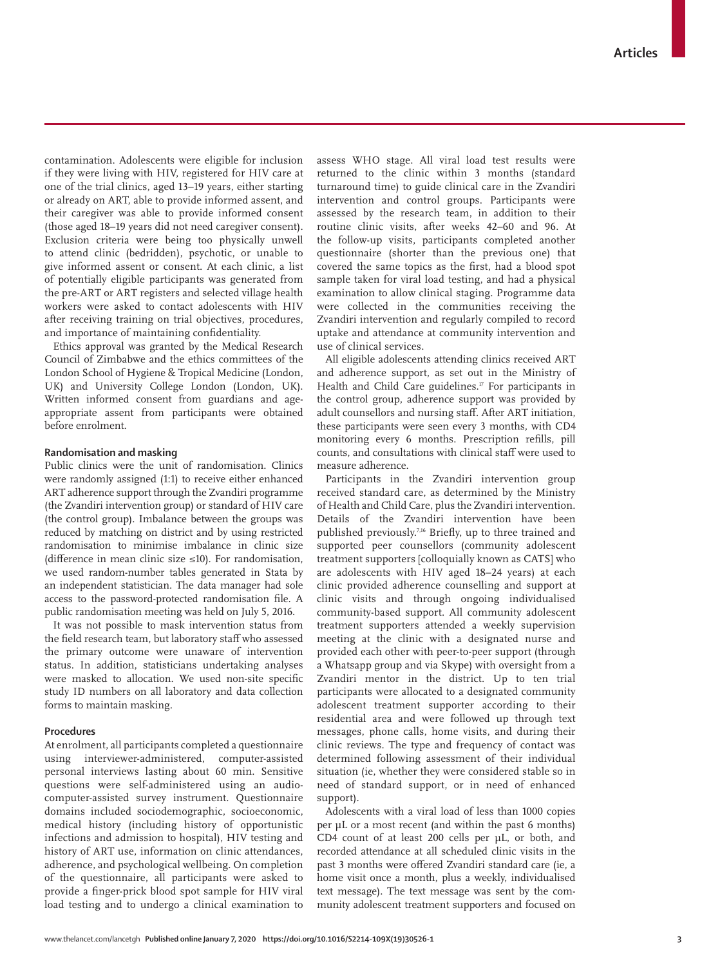contamination. Adolescents were eligible for inclusion if they were living with HIV, registered for HIV care at one of the trial clinics, aged 13–19 years, either starting or already on ART, able to provide informed assent, and their caregiver was able to provide informed consent (those aged 18–19 years did not need caregiver consent). Exclusion criteria were being too physically unwell to attend clinic (bedridden), psychotic, or unable to give informed assent or consent. At each clinic, a list of potentially eligible participants was generated from the pre-ART or ART registers and selected village health workers were asked to contact adolescents with HIV after receiving training on trial objectives, procedures, and importance of maintaining confidentiality.

Ethics approval was granted by the Medical Research Council of Zimbabwe and the ethics committees of the London School of Hygiene & Tropical Medicine (London, UK) and University College London (London, UK). Written informed consent from guardians and ageappropriate assent from participants were obtained before enrolment.

## **Randomisation and masking**

Public clinics were the unit of randomisation. Clinics were randomly assigned (1:1) to receive either enhanced ART adherence support through the Zvandiri programme (the Zvandiri intervention group) or standard of HIV care (the control group). Imbalance between the groups was reduced by matching on district and by using restricted randomisation to minimise imbalance in clinic size (difference in mean clinic size ≤10). For randomisation, we used random-number tables generated in Stata by an independent statistician. The data manager had sole access to the password-protected randomisation file. A public randomisation meeting was held on July 5, 2016.

It was not possible to mask intervention status from the field research team, but laboratory staff who assessed the primary outcome were unaware of intervention status. In addition, statisticians undertaking analyses were masked to allocation. We used non-site specific study ID numbers on all laboratory and data collection forms to maintain masking.

## **Procedures**

At enrolment, all participants completed a questionnaire using interviewer-administered, computer-assisted personal interviews lasting about 60 min. Sensitive questions were self-administered using an audiocomputer-assisted survey instrument. Questionnaire domains included sociodemographic, socioeconomic, medical history (including history of opportunistic infections and admission to hospital), HIV testing and history of ART use, information on clinic attendances, adherence, and psychological wellbeing. On completion of the questionnaire, all participants were asked to provide a finger-prick blood spot sample for HIV viral load testing and to undergo a clinical examination to assess WHO stage. All viral load test results were returned to the clinic within 3 months (standard turnaround time) to guide clinical care in the Zvandiri intervention and control groups. Participants were assessed by the research team, in addition to their routine clinic visits, after weeks 42–60 and 96. At the follow-up visits, participants completed another questionnaire (shorter than the previous one) that covered the same topics as the first, had a blood spot sample taken for viral load testing, and had a physical examination to allow clinical staging. Programme data were collected in the communities receiving the Zvandiri intervention and regularly compiled to record uptake and attendance at community intervention and use of clinical services.

All eligible adolescents attending clinics received ART and adherence support, as set out in the Ministry of Health and Child Care guidelines.<sup>17</sup> For participants in the control group, adherence support was provided by adult counsellors and nursing staff. After ART initiation, these participants were seen every 3 months, with CD4 monitoring every 6 months. Prescription refills, pill counts, and consultations with clinical staff were used to measure adherence.

Participants in the Zvandiri intervention group received standard care, as determined by the Ministry of Health and Child Care, plus the Zvandiri intervention. Details of the Zvandiri intervention have been published previously.7,16 Briefly, up to three trained and supported peer counsellors (community adolescent treatment supporters [colloquially known as CATS] who are adolescents with HIV aged 18–24 years) at each clinic provided adherence counselling and support at clinic visits and through ongoing individualised community-based support. All community adolescent treatment supporters attended a weekly supervision meeting at the clinic with a designated nurse and provided each other with peer-to-peer support (through a Whatsapp group and via Skype) with oversight from a Zvandiri mentor in the district. Up to ten trial participants were allocated to a designated community adolescent treatment supporter according to their residential area and were followed up through text messages, phone calls, home visits, and during their clinic reviews. The type and frequency of contact was determined following assessment of their individual situation (ie, whether they were considered stable so in need of standard support, or in need of enhanced support).

Adolescents with a viral load of less than 1000 copies per µL or a most recent (and within the past 6 months) CD4 count of at least 200 cells per µL, or both, and recorded attendance at all scheduled clinic visits in the past 3 months were offered Zvandiri standard care (ie, a home visit once a month, plus a weekly, individualised text message). The text message was sent by the community adolescent treatment supporters and focused on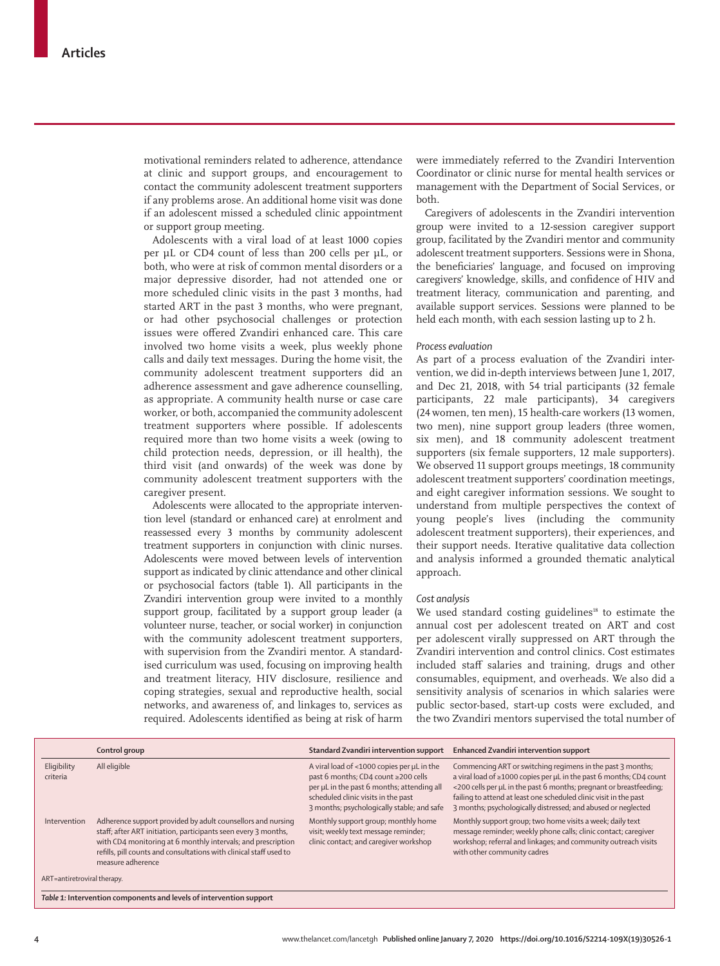motivational reminders related to adherence, attendance at clinic and support groups, and encouragement to contact the community adolescent treatment supporters if any problems arose. An additional home visit was done if an adolescent missed a scheduled clinic appointment or support group meeting.

Adolescents with a viral load of at least 1000 copies per µL or CD4 count of less than 200 cells per µL, or both, who were at risk of common mental disorders or a major depressive disorder, had not attended one or more scheduled clinic visits in the past 3 months, had started ART in the past 3 months, who were pregnant, or had other psychosocial challenges or protection issues were offered Zvandiri enhanced care. This care involved two home visits a week, plus weekly phone calls and daily text messages. During the home visit, the community adolescent treatment supporters did an adherence assessment and gave adherence counselling, as appropriate. A community health nurse or case care worker, or both, accompanied the community adolescent treatment supporters where possible. If adolescents required more than two home visits a week (owing to child protection needs, depression, or ill health), the third visit (and onwards) of the week was done by community adolescent treatment supporters with the caregiver present.

Adolescents were allocated to the appropriate intervention level (standard or enhanced care) at enrolment and reassessed every 3 months by community adolescent treatment supporters in conjunction with clinic nurses. Adolescents were moved between levels of intervention support as indicated by clinic attendance and other clinical or psychosocial factors (table 1). All participants in the Zvandiri intervention group were invited to a monthly support group, facilitated by a support group leader (a volunteer nurse, teacher, or social worker) in conjunction with the community adolescent treatment supporters. with supervision from the Zvandiri mentor. A standardised curriculum was used, focusing on improving health and treatment literacy, HIV disclosure, resilience and coping strategies, sexual and reproductive health, social networks, and awareness of, and linkages to, services as required. Adolescents identified as being at risk of harm were immediately referred to the Zvandiri Intervention Coordinator or clinic nurse for mental health services or management with the Department of Social Services, or both.

Caregivers of adolescents in the Zvandiri intervention group were invited to a 12-session caregiver support group, facilitated by the Zvandiri mentor and community adolescent treatment supporters. Sessions were in Shona, the beneficiaries' language, and focused on improving caregivers' knowledge, skills, and confidence of HIV and treatment literacy, communication and parenting, and available support services. Sessions were planned to be held each month, with each session lasting up to 2 h.

## *Process evaluation*

As part of a process evaluation of the Zvandiri intervention, we did in-depth interviews between June 1, 2017, and Dec 21, 2018, with 54 trial participants (32 female participants, 22 male participants), 34 caregivers (24 women, ten men), 15 health-care workers (13 women, two men), nine support group leaders (three women, six men), and 18 community adolescent treatment supporters (six female supporters, 12 male supporters). We observed 11 support groups meetings, 18 community adolescent treatment supporters' coordination meetings, and eight caregiver information sessions. We sought to understand from multiple perspectives the context of young people's lives (including the community adolescent treatment supporters), their experiences, and their support needs. Iterative qualitative data collection and analysis informed a grounded thematic analytical approach.

#### *Cost analysis*

We used standard costing guidelines<sup>18</sup> to estimate the annual cost per adolescent treated on ART and cost per adolescent virally suppressed on ART through the Zvandiri intervention and control clinics. Cost estimates included staff salaries and training, drugs and other consumables, equipment, and overheads. We also did a sensitivity analysis of scenarios in which salaries were public sector-based, start-up costs were excluded, and the two Zvandiri mentors supervised the total number of

|                                                                     | Control group                                                                                                                                                                                                                                                                            | Standard Zvandiri intervention support                                                                                                                                                                               | Enhanced Zvandiri intervention support                                                                                                                                                                                                                                                                                                        |  |  |  |
|---------------------------------------------------------------------|------------------------------------------------------------------------------------------------------------------------------------------------------------------------------------------------------------------------------------------------------------------------------------------|----------------------------------------------------------------------------------------------------------------------------------------------------------------------------------------------------------------------|-----------------------------------------------------------------------------------------------------------------------------------------------------------------------------------------------------------------------------------------------------------------------------------------------------------------------------------------------|--|--|--|
| Eligibility<br>criteria                                             | All eligible                                                                                                                                                                                                                                                                             | A viral load of <1000 copies per µL in the<br>past 6 months; CD4 count ≥200 cells<br>per µL in the past 6 months; attending all<br>scheduled clinic visits in the past<br>3 months; psychologically stable; and safe | Commencing ART or switching regimens in the past 3 months;<br>a viral load of ≥1000 copies per µL in the past 6 months; CD4 count<br><200 cells per µL in the past 6 months; pregnant or breastfeeding;<br>failing to attend at least one scheduled clinic visit in the past<br>3 months; psychologically distressed; and abused or neglected |  |  |  |
| Intervention                                                        | Adherence support provided by adult counsellors and nursing<br>staff; after ART initiation, participants seen every 3 months,<br>with CD4 monitoring at 6 monthly intervals; and prescription<br>refills, pill counts and consultations with clinical staff used to<br>measure adherence | Monthly support group; monthly home<br>visit; weekly text message reminder;<br>clinic contact; and caregiver workshop                                                                                                | Monthly support group; two home visits a week; daily text<br>message reminder; weekly phone calls; clinic contact; caregiver<br>workshop; referral and linkages; and community outreach visits<br>with other community cadres                                                                                                                 |  |  |  |
| ART=antiretroviral therapy.                                         |                                                                                                                                                                                                                                                                                          |                                                                                                                                                                                                                      |                                                                                                                                                                                                                                                                                                                                               |  |  |  |
| Table 1: Intervention components and levels of intervention support |                                                                                                                                                                                                                                                                                          |                                                                                                                                                                                                                      |                                                                                                                                                                                                                                                                                                                                               |  |  |  |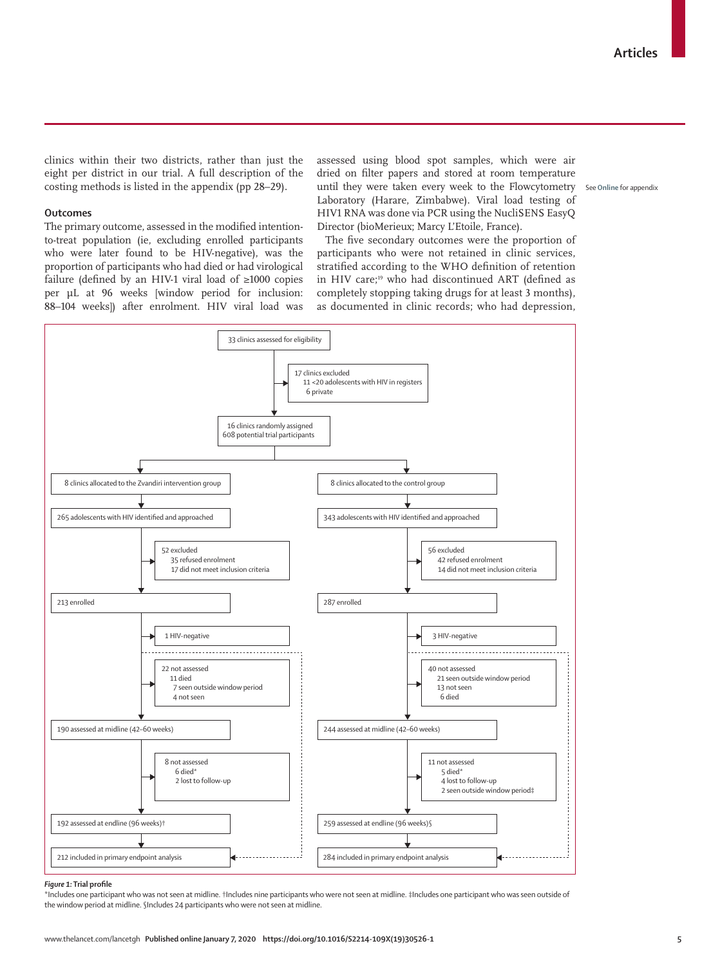clinics within their two districts, rather than just the eight per district in our trial. A full description of the costing methods is listed in the appendix (pp 28–29).

#### **Outcomes**

The primary outcome, assessed in the modified intentionto-treat population (ie, excluding enrolled participants who were later found to be HIV-negative), was the proportion of participants who had died or had virological failure (defined by an HIV-1 viral load of ≥1000 copies per µL at 96 weeks [window period for inclusion: 88–104 weeks]) after enrolment. HIV viral load was

assessed using blood spot samples, which were air dried on filter papers and stored at room temperature until they were taken every week to the Flowcytometry Laboratory (Harare, Zimbabwe). Viral load testing of HIV1 RNA was done via PCR using the NucliSENS EasyQ Director (bioMerieux; Marcy L'Etoile, France).

See **Online** for appendix

The five secondary outcomes were the proportion of participants who were not retained in clinic services, stratified according to the WHO definition of retention in HIV care;<sup>19</sup> who had discontinued ART (defined as completely stopping taking drugs for at least 3 months), as documented in clinic records; who had depression,



#### *Figure 1:* **Trial profile**

\*Includes one participant who was not seen at midline. †Includes nine participants who were not seen at midline. ‡Includes one participant who was seen outside of the window period at midline. §Includes 24 participants who were not seen at midline.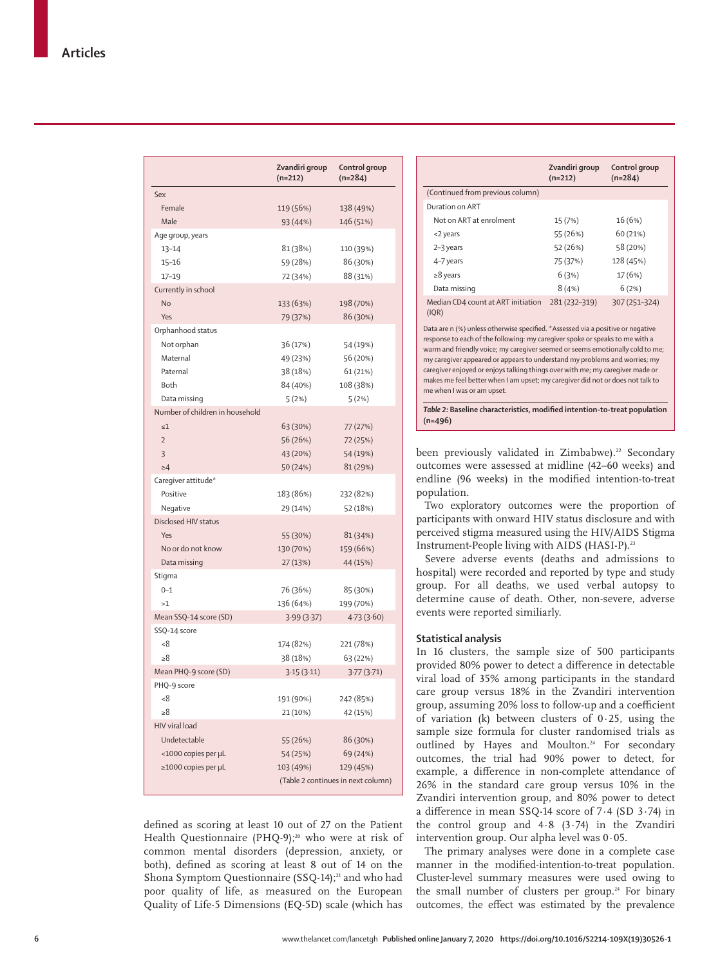|                                 | Zvandiri group<br>$(n=212)$ | Control group<br>$(n=284)$         |
|---------------------------------|-----------------------------|------------------------------------|
| Sex                             |                             |                                    |
| Female                          | 119 (56%)                   | 138 (49%)                          |
| Male                            | 93 (44%)                    | 146 (51%)                          |
| Age group, years                |                             |                                    |
| $13 - 14$                       | 81 (38%)                    | 110 (39%)                          |
| $15 - 16$                       | 59 (28%)                    | 86 (30%)                           |
| $17 - 19$                       | 72 (34%)                    | 88 (31%)                           |
| Currently in school             |                             |                                    |
| No                              | 133 (63%)                   | 198 (70%)                          |
| Yes                             | 79 (37%)                    | 86 (30%)                           |
| Orphanhood status               |                             |                                    |
| Not orphan                      | 36 (17%)                    | 54 (19%)                           |
| Maternal                        | 49 (23%)                    | 56 (20%)                           |
| Paternal                        | 38 (18%)                    | 61 (21%)                           |
| Both                            | 84 (40%)                    | 108 (38%)                          |
| Data missing                    | 5(2%)                       | 5(2%)                              |
| Number of children in household |                             |                                    |
| $\leq 1$                        | 63 (30%)                    | 77 (27%)                           |
| $\overline{2}$                  | 56 (26%)                    | 72 (25%)                           |
| 3                               | 43 (20%)                    | 54 (19%)                           |
| $\geq 4$                        | 50 (24%)                    | 81 (29%)                           |
| Caregiver attitude*             |                             |                                    |
| Positive                        | 183 (86%)                   | 232 (82%)                          |
| Negative                        | 29 (14%)                    | 52 (18%)                           |
| <b>Disclosed HIV status</b>     |                             |                                    |
| Yes                             | 55 (30%)                    | 81 (34%)                           |
| No or do not know               | 130 (70%)                   | 159 (66%)                          |
| Data missing                    | 27 (13%)                    | 44 (15%)                           |
| Stigma                          |                             |                                    |
| $0 - 1$                         | 76 (36%)                    | 85 (30%)                           |
| >1                              | 136 (64%)                   | 199 (70%)                          |
| Mean SSQ-14 score (SD)          | 3.99(3.37)                  | 4.73(3.60)                         |
| SSQ-14 score                    |                             |                                    |
| &8                              | 174 (82%)                   | 221 (78%)                          |
| $\geq 8$                        | 38 (18%)                    | 63 (22%)                           |
| Mean PHQ-9 score (SD)           | 3.15(3.11)                  | 3.77(3.71)                         |
| PHQ-9 score                     |                             |                                    |
| < 8                             | 191 (90%)                   | 242 (85%)                          |
| ≥8                              | 21 (10%)                    | 42 (15%)                           |
| <b>HIV</b> viral load           |                             |                                    |
| Undetectable                    | 55 (26%)                    | 86 (30%)                           |
| <1000 copies per µL             | 54 (25%)                    | 69 (24%)                           |
| $\geq$ 1000 copies per µL       | 103 (49%)                   | 129 (45%)                          |
|                                 |                             | (Table 2 continues in next column) |
|                                 |                             |                                    |

defined as scoring at least 10 out of 27 on the Patient Health Questionnaire (PHQ-9);<sup>20</sup> who were at risk of common mental disorders (depression, anxiety, or both), defined as scoring at least 8 out of 14 on the Shona Symptom Questionnaire (SSQ-14);<sup>21</sup> and who had poor quality of life, as measured on the European Quality of Life-5 Dimensions (EQ-5D) scale (which has

|                                                                                                                                                                                                                                                  | Zvandiri group<br>$(n=212)$ | Control group<br>$(n=284)$ |  |  |  |
|--------------------------------------------------------------------------------------------------------------------------------------------------------------------------------------------------------------------------------------------------|-----------------------------|----------------------------|--|--|--|
| (Continued from previous column)                                                                                                                                                                                                                 |                             |                            |  |  |  |
| Duration on ART                                                                                                                                                                                                                                  |                             |                            |  |  |  |
| Not on ART at enrolment                                                                                                                                                                                                                          | 15 (7%)                     | 16 (6%)                    |  |  |  |
| <2 years                                                                                                                                                                                                                                         | 55 (26%)                    | 60 (21%)                   |  |  |  |
| 2-3 years                                                                                                                                                                                                                                        | 52 (26%)                    | 58 (20%)                   |  |  |  |
| 4-7 years                                                                                                                                                                                                                                        | 75 (37%)                    | 128 (45%)                  |  |  |  |
| $\geq 8$ years                                                                                                                                                                                                                                   | 6(3%)                       | 17 (6%)                    |  |  |  |
| Data missing                                                                                                                                                                                                                                     | 8(4%)                       | 6(2%)                      |  |  |  |
| 281 (232-319)<br>307 (251-324)<br>Median CD4 count at ART initiation<br>(IQR)                                                                                                                                                                    |                             |                            |  |  |  |
| Data are n (%) unless otherwise specified. *Assessed via a positive or negative<br>response to each of the following: my caregiver spoke or speaks to me with a<br>warm and friendly voice; my caregiver seemed or seems emotionally cold to me; |                             |                            |  |  |  |

my caregiver appeared or appears to understand my problems and worries; my caregiver enjoyed or enjoys talking things over with me; my caregiver made or makes me feel better when I am upset; my caregiver did not or does not talk to me when I was or am upset.

*Table 2:* **Baseline characteristics, modified intention-to-treat population (n=496)**

been previously validated in Zimbabwe).<sup>22</sup> Secondary outcomes were assessed at midline (42–60 weeks) and endline (96 weeks) in the modified intention-to-treat population.

Two exploratory outcomes were the proportion of participants with onward HIV status disclosure and with perceived stigma measured using the HIV/AIDS Stigma Instrument-People living with AIDS (HASI-P).<sup>23</sup>

Severe adverse events (deaths and admissions to hospital) were recorded and reported by type and study group. For all deaths, we used verbal autopsy to determine cause of death. Other, non-severe, adverse events were reported similiarly.

## **Statistical analysis**

In 16 clusters, the sample size of 500 participants provided 80% power to detect a difference in detectable viral load of 35% among participants in the standard care group versus 18% in the Zvandiri intervention group, assuming 20% loss to follow-up and a coefficient of variation (k) between clusters of 0·25, using the sample size formula for cluster randomised trials as outlined by Hayes and Moulton.<sup>24</sup> For secondary outcomes, the trial had 90% power to detect, for example, a difference in non-complete attendance of 26% in the standard care group versus 10% in the Zvandiri intervention group, and 80% power to detect a difference in mean SSQ-14 score of 7·4 (SD 3·74) in the control group and 4·8 (3·74) in the Zvandiri intervention group. Our alpha level was 0·05.

The primary analyses were done in a complete case manner in the modified-intention-to-treat population. Cluster-level summary measures were used owing to the small number of clusters per group.<sup>24</sup> For binary outcomes, the effect was estimated by the prevalence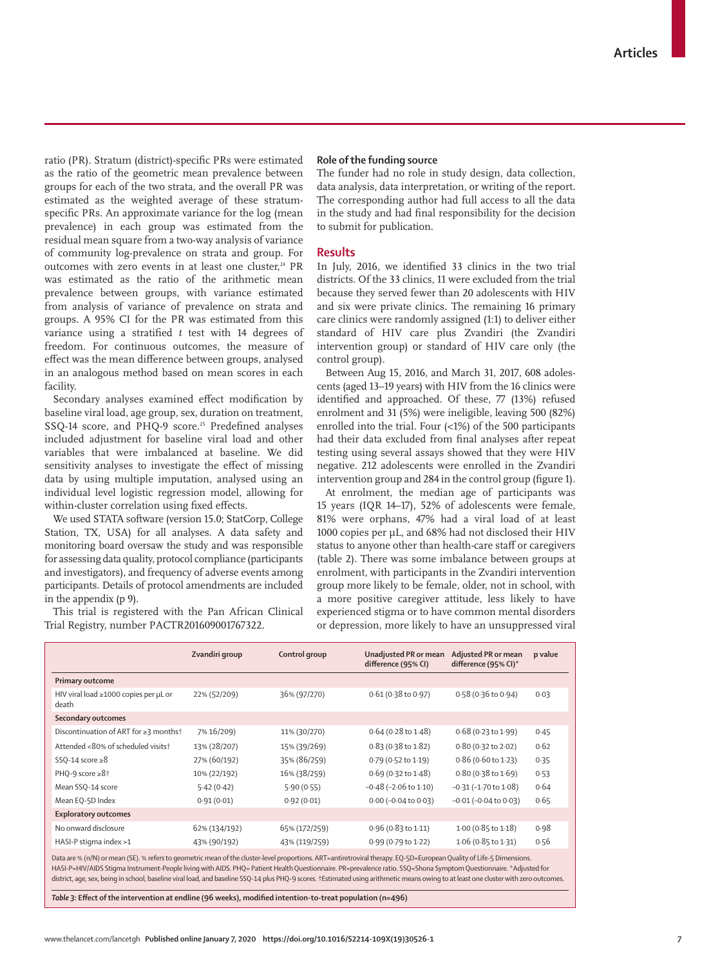ratio (PR). Stratum (district)-specific PRs were estimated as the ratio of the geometric mean prevalence between groups for each of the two strata, and the overall PR was estimated as the weighted average of these stratumspecific PRs. An approximate variance for the log (mean prevalence) in each group was estimated from the residual mean square from a two-way analysis of variance of community log-prevalence on strata and group. For outcomes with zero events in at least one cluster,<sup>24</sup> PR was estimated as the ratio of the arithmetic mean prevalence between groups, with variance estimated from analysis of variance of prevalence on strata and groups. A 95% CI for the PR was estimated from this variance using a stratified *t* test with 14 degrees of freedom. For continuous outcomes, the measure of effect was the mean difference between groups, analysed in an analogous method based on mean scores in each facility.

Secondary analyses examined effect modification by baseline viral load, age group, sex, duration on treatment, SSQ-14 score, and PHQ-9 score.<sup>25</sup> Predefined analyses included adjustment for baseline viral load and other variables that were imbalanced at baseline. We did sensitivity analyses to investigate the effect of missing data by using multiple imputation, analysed using an individual level logistic regression model, allowing for within-cluster correlation using fixed effects.

We used STATA software (version 15.0; StatCorp, College Station, TX, USA) for all analyses. A data safety and monitoring board oversaw the study and was responsible for assessing data quality, protocol compliance (participants and investigators), and frequency of adverse events among participants. Details of protocol amendments are included in the appendix (p 9).

This trial is registered with the Pan African Clinical Trial Registry, number PACTR201609001767322.

## **Role of the funding source**

The funder had no role in study design, data collection, data analysis, data interpretation, or writing of the report. The corresponding author had full access to all the data in the study and had final responsibility for the decision to submit for publication.

## **Results**

In July, 2016, we identified 33 clinics in the two trial districts. Of the 33 clinics, 11 were excluded from the trial because they served fewer than 20 adolescents with HIV and six were private clinics. The remaining 16 primary care clinics were randomly assigned (1:1) to deliver either standard of HIV care plus Zvandiri (the Zvandiri intervention group) or standard of HIV care only (the control group).

Between Aug 15, 2016, and March 31, 2017, 608 adolescents (aged 13–19 years) with HIV from the 16 clinics were identified and approached. Of these, 77 (13%) refused enrolment and 31 (5%) were ineligible, leaving 500 (82%) enrolled into the trial. Four (<1%) of the 500 participants had their data excluded from final analyses after repeat testing using several assays showed that they were HIV negative. 212 adolescents were enrolled in the Zvandiri intervention group and 284 in the control group (figure 1).

At enrolment, the median age of participants was 15 years (IQR 14–17), 52% of adolescents were female, 81% were orphans, 47% had a viral load of at least 1000 copies per µL, and 68% had not disclosed their HIV status to anyone other than health-care staff or caregivers (table 2). There was some imbalance between groups at enrolment, with participants in the Zvandiri intervention group more likely to be female, older, not in school, with a more positive caregiver attitude, less likely to have experienced stigma or to have common mental disorders or depression, more likely to have an unsuppressed viral

|                                                      | Zvandiri group | Control group | Unadjusted PR or mean<br>difference (95% CI) | Adjusted PR or mean<br>difference (95% CI)* | p value |
|------------------------------------------------------|----------------|---------------|----------------------------------------------|---------------------------------------------|---------|
| Primary outcome                                      |                |               |                                              |                                             |         |
| HIV viral load $\geq$ 1000 copies per µL or<br>death | 22% (52/209)   | 36% (97/270)  | 0.61(0.38 to 0.97)                           | $0.58(0.36 \text{ to } 0.94)$               | 0.03    |
| Secondary outcomes                                   |                |               |                                              |                                             |         |
| Discontinuation of ART for ≥3 months†                | 7% 16/209)     | 11% (30/270)  | $0.64$ (0.28 to 1.48)                        | $0.68$ (0.23 to 1.99)                       | 0.45    |
| Attended <80% of scheduled visitst                   | 13% (28/207)   | 15% (39/269)  | $0.83(0.38 \text{ to } 1.82)$                | $0.80$ (0.32 to 2.02)                       | 0.62    |
| SSO-14 score $\geq 8$                                | 27% (60/192)   | 35% (86/259)  | $0.79$ (0.52 to 1.19)                        | $0.86$ (0.60 to 1.23)                       | 0.35    |
| PHQ-9 score $\geq 8$ <sup>+</sup>                    | 10% (22/192)   | 16% (38/259)  | $0.69$ (0.32 to 1.48)                        | $0.80(0.38 \text{ to } 1.69)$               | 0.53    |
| Mean SSQ-14 score                                    | 5.42(0.42)     | 5.90(0.55)    | $-0.48$ ( $-2.06$ to $1.10$ )                | $-0.31$ ( $-1.70$ to $1.08$ )               | 0.64    |
| Mean EQ-5D Index                                     | 0.91(0.01)     | 0.92(0.01)    | $0.00 (-0.04 to 0.03)$                       | $-0.01$ ( $-0.04$ to $0.03$ )               | 0.65    |
| <b>Exploratory outcomes</b>                          |                |               |                                              |                                             |         |
| No onward disclosure                                 | 62% (134/192)  | 65% (172/259) | $0.96$ (0.83 to 1.11)                        | 1.00 (0.85 to 1.18)                         | 0.98    |
| HASI-P stigma index >1                               | 43% (90/192)   | 43% (119/259) | 0.99 (0.79 to 1.22)                          | 1.06 (0.85 to 1.31)                         | 0.56    |

Data are % (n/N) or mean (SE). % refers to geometric mean of the cluster-level proportions. ART=antiretroviral therapy. EQ-5D=European Quality of Life-5 Dimensions. HASI-P=HIV/AIDS Stigma Instrument-People living with AIDS. PHQ= Patient Health Questionnaire. PR=prevalence ratio. SSQ=Shona Symptom Questionnaire. \*Adjusted for district, age, sex, being in school, baseline viral load, and baseline SSQ-14 plus PHQ-9 scores. †Estimated using arithmetic means owing to at least one cluster with zero outcomes.

*Table 3:* **Effect of the intervention at endline (96 weeks), modified intention-to-treat population (n=496)**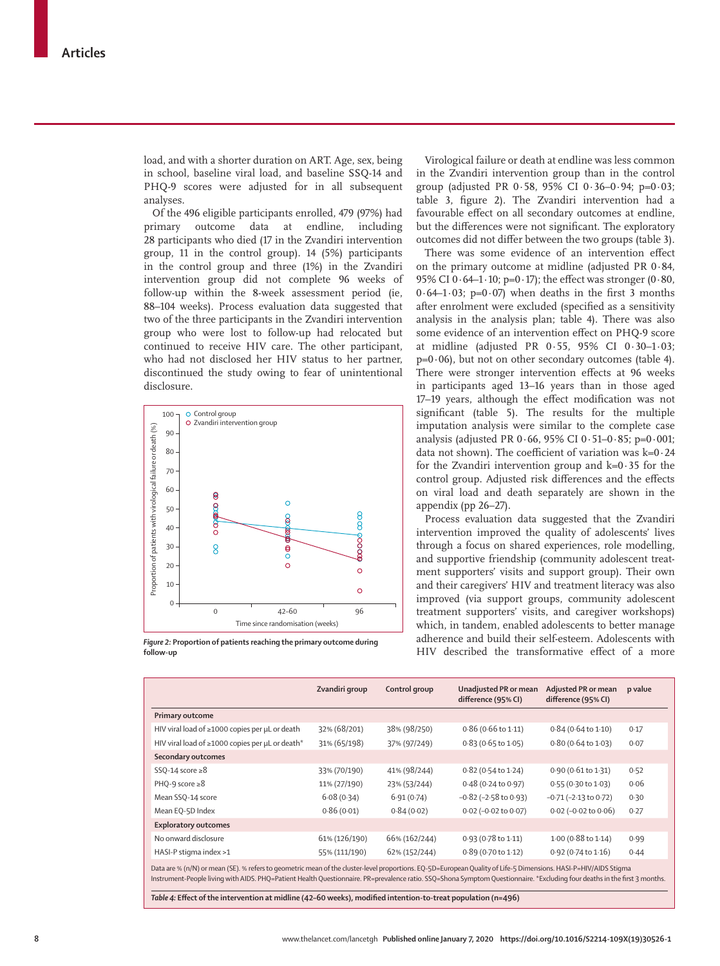load, and with a shorter duration on ART. Age, sex, being in school, baseline viral load, and baseline SSQ-14 and PHQ-9 scores were adjusted for in all subsequent analyses.

Of the 496 eligible participants enrolled, 479 (97%) had primary outcome data at endline, including 28 participants who died (17 in the Zvandiri intervention group, 11 in the control group). 14 (5%) participants in the control group and three (1%) in the Zvandiri intervention group did not complete 96 weeks of follow-up within the 8-week assessment period (ie, 88–104 weeks). Process evaluation data suggested that two of the three participants in the Zvandiri intervention group who were lost to follow-up had relocated but continued to receive HIV care. The other participant, who had not disclosed her HIV status to her partner, discontinued the study owing to fear of unintentional disclosure.



*Figure 2:* **Proportion of patients reaching the primary outcome during follow-up**

Virological failure or death at endline was less common in the Zvandiri intervention group than in the control group (adjusted PR 0.58, 95% CI 0.36-0.94; p=0.03; table 3, figure 2). The Zvandiri intervention had a favourable effect on all secondary outcomes at endline, but the differences were not significant. The exploratory outcomes did not differ between the two groups (table 3).

There was some evidence of an intervention effect on the primary outcome at midline (adjusted PR 0·84, 95% CI 0 $\cdot$  64–1 $\cdot$ 10; p=0 $\cdot$ 17); the effect was stronger (0 $\cdot$ 80,  $0.64-1.03$ ;  $p=0.07$ ) when deaths in the first 3 months after enrolment were excluded (specified as a sensitivity analysis in the analysis plan; table 4). There was also some evidence of an intervention effect on PHQ-9 score at midline (adjusted PR 0·55, 95% CI 0·30–1·03;  $p=0.06$ ), but not on other secondary outcomes (table 4). There were stronger intervention effects at 96 weeks in participants aged 13–16 years than in those aged 17–19 years, although the effect modification was not significant (table 5). The results for the multiple imputation analysis were similar to the complete case analysis (adjusted PR 0·66, 95% CI 0·51–0·85; p=0·001; data not shown). The coefficient of variation was k=0·24 for the Zvandiri intervention group and  $k=0.35$  for the control group. Adjusted risk differences and the effects on viral load and death separately are shown in the appendix (pp 26–27).

Process evaluation data suggested that the Zvandiri intervention improved the quality of adolescents' lives through a focus on shared experiences, role modelling, and supportive friendship (community adolescent treatment supporters' visits and support group). Their own and their caregivers' HIV and treatment literacy was also improved (via support groups, community adolescent treatment supporters' visits, and caregiver workshops) which, in tandem, enabled adolescents to better manage adherence and build their self-esteem. Adolescents with HIV described the transformative effect of a more

|                                                                                                                                                                | Zvandiri group | Control group | Unadjusted PR or mean<br>difference (95% CI) | Adjusted PR or mean<br>difference (95% CI) | p value |  |
|----------------------------------------------------------------------------------------------------------------------------------------------------------------|----------------|---------------|----------------------------------------------|--------------------------------------------|---------|--|
| Primary outcome                                                                                                                                                |                |               |                                              |                                            |         |  |
| HIV viral load of $\geq$ 1000 copies per µL or death                                                                                                           | 32% (68/201)   | 38% (98/250)  | $0.86$ (0.66 to 1.11)                        | $0.84(0.64 \text{ to } 1.10)$              | 0.17    |  |
| HIV viral load of ≥1000 copies per µL or death*                                                                                                                | 31% (65/198)   | 37% (97/249)  | $0.83(0.65 \text{ to } 1.05)$                | $0.80(0.64 \text{ to } 1.03)$              | 0.07    |  |
| Secondary outcomes                                                                                                                                             |                |               |                                              |                                            |         |  |
| SSO-14 score $\geq 8$                                                                                                                                          | 33% (70/190)   | 41% (98/244)  | 0.82 (0.54 to 1.24)                          | $0.90(0.61$ to $1.31)$                     | 0.52    |  |
| PHQ-9 score $\geq 8$                                                                                                                                           | 11% (27/190)   | 23% (53/244)  | $0.48$ (0.24 to 0.97)                        | $0.55(0.30 \text{ to } 1.03)$              | 0.06    |  |
| Mean SSQ-14 score                                                                                                                                              | 6.08(0.34)     | 6.91(0.74)    | $-0.82$ ( $-2.58$ to $0.93$ )                | $-0.71$ ( $-2.13$ to $0.72$ )              | 0.30    |  |
| Mean EQ-5D Index                                                                                                                                               | 0.86(0.01)     | 0.84(0.02)    | $0.02$ (-0.02 to $0.07$ )                    | $0.02$ (-0.02 to $0.06$ )                  | 0.27    |  |
| <b>Exploratory outcomes</b>                                                                                                                                    |                |               |                                              |                                            |         |  |
| No onward disclosure                                                                                                                                           | 61% (126/190)  | 66% (162/244) | $0.93(0.78 \text{ to } 1.11)$                | 1.00 (0.88 to 1.14)                        | 0.99    |  |
| HASI-P stigma index >1                                                                                                                                         | 55% (111/190)  | 62% (152/244) | 0.89 (0.70 to 1.12)                          | $0.92(0.74 \text{ to } 1.16)$              | 0.44    |  |
| Data are % (n/N) or mean (SE) % refers to geometric mean of the cluster level proportions. EQ ED-European Quality of Life E Dimensions, HASL B-HIV/AIDS Stigma |                |               |                                              |                                            |         |  |

Data are % (n/N) or mean (SE). % refers to geometric mean of the cluster-level proportions. EQ-5D=European Quality of Life-5 Dimensions. HASI-P=HIV/AIDS Stigma Instrument-People living with AIDS. PHQ=Patient Health Questionnaire. PR=prevalence ratio. SSQ=Shona Symptom Questionnaire. \*Excluding four deaths in the first 3 months.

*Table 4:* **Effect of the intervention at midline (42–60 weeks), modified intention-to-treat population (n=496)**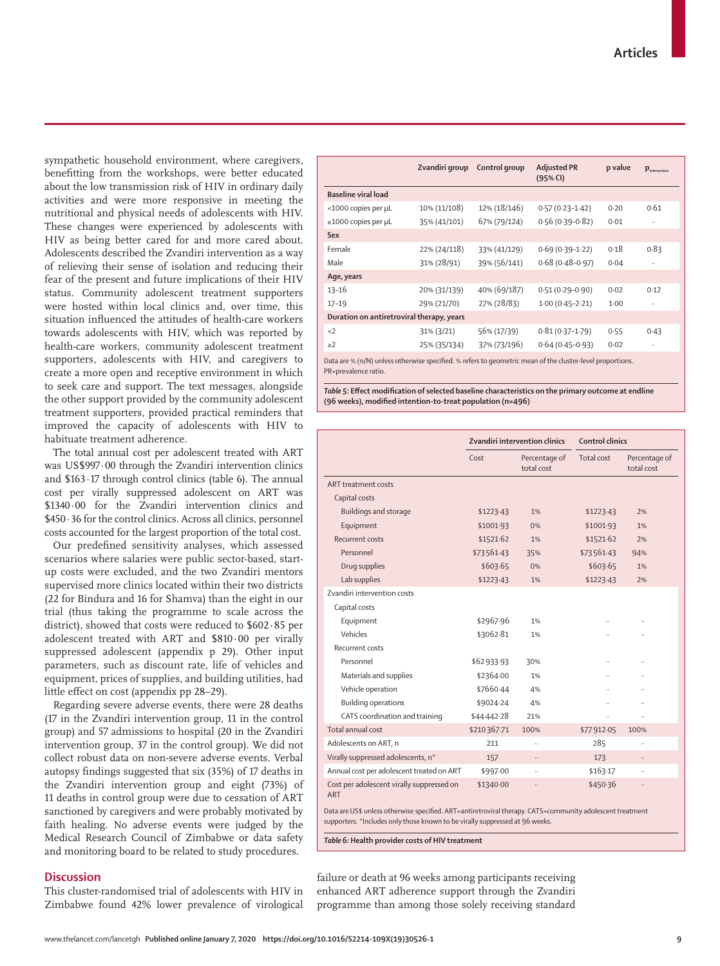sympathetic household environment, where caregivers, benefitting from the workshops, were better educated about the low transmission risk of HIV in ordinary daily activities and were more responsive in meeting the nutritional and physical needs of adolescents with HIV. These changes were experienced by adolescents with HIV as being better cared for and more cared about. Adolescents described the Zvandiri intervention as a way of relieving their sense of isolation and reducing their fear of the present and future implications of their HIV status. Community adolescent treatment supporters were hosted within local clinics and, over time, this situation influenced the attitudes of health-care workers towards adolescents with HIV, which was reported by health-care workers, community adolescent treatment supporters, adolescents with HIV, and caregivers to create a more open and receptive environment in which to seek care and support. The text messages, alongside the other support provided by the community adolescent treatment supporters, provided practical reminders that improved the capacity of adolescents with HIV to habituate treatment adherence.

The total annual cost per adolescent treated with ART was US\$997·00 through the Zvandiri intervention clinics and \$163·17 through control clinics (table 6). The annual cost per virally suppressed adolescent on ART was \$1340·00 for the Zvandiri intervention clinics and \$450·36 for the control clinics. Across all clinics, personnel costs accounted for the largest proportion of the total cost.

Our predefined sensitivity analyses, which assessed scenarios where salaries were public sector-based, startup costs were excluded, and the two Zvandiri mentors supervised more clinics located within their two districts (22 for Bindura and 16 for Shamva) than the eight in our trial (thus taking the programme to scale across the district), showed that costs were reduced to \$602·85 per adolescent treated with ART and \$810·00 per virally suppressed adolescent (appendix p 29). Other input parameters, such as discount rate, life of vehicles and equipment, prices of supplies, and building utilities, had little effect on cost (appendix pp 28–29).

Regarding severe adverse events, there were 28 deaths (17 in the Zvandiri intervention group, 11 in the control group) and 57 admissions to hospital (20 in the Zvandiri intervention group, 37 in the control group). We did not collect robust data on non-severe adverse events. Verbal autopsy findings suggested that six (35%) of 17 deaths in the Zvandiri intervention group and eight (73%) of 11 deaths in control group were due to cessation of ART sanctioned by caregivers and were probably motivated by faith healing. No adverse events were judged by the Medical Research Council of Zimbabwe or data safety and monitoring board to be related to study procedures.

## **Discussion**

This cluster-randomised trial of adolescents with HIV in Zimbabwe found 42% lower prevalence of virological

|                                                                                                           | Zvandiri group    | Control group | <b>Adjusted PR</b><br>(95% CI) | p value | $\mathbf{p}_{\text{interaction}}$ |  |  |
|-----------------------------------------------------------------------------------------------------------|-------------------|---------------|--------------------------------|---------|-----------------------------------|--|--|
| <b>Baseline viral load</b>                                                                                |                   |               |                                |         |                                   |  |  |
| <1000 copies per µL                                                                                       | 10% (11/108)      | 12% (18/146)  | $0.57(0.23 - 1.42)$            | 0.20    | 0.61                              |  |  |
| $\geq$ 1000 copies per µL                                                                                 | 35% (41/101)      | 67% (79/124)  | $0.56(0.39 - 0.82)$            | 0.01    | $\ddotsc$                         |  |  |
| Sex                                                                                                       |                   |               |                                |         |                                   |  |  |
| Female                                                                                                    | 22% (24/118)      | 33% (41/129)  | $0.69(0.39 - 1.22)$            | 0.18    | 0.83                              |  |  |
| Male                                                                                                      | 31% (28/91)       | 39% (56/141)  | $0.68(0.48 - 0.97)$            | 0.04    |                                   |  |  |
| Age, years                                                                                                |                   |               |                                |         |                                   |  |  |
| $13 - 16$                                                                                                 | 20% (31/139)      | 40% (69/187)  | $0.51(0.29 - 0.90)$            | 0.02    | 0.12                              |  |  |
| $17 - 19$                                                                                                 | 29% (21/70)       | 27% (28/83)   | $1.00(0.45 - 2.21)$            | $1-00$  |                                   |  |  |
| Duration on antiretroviral therapy, years                                                                 |                   |               |                                |         |                                   |  |  |
| $\langle$                                                                                                 | $31\%$ ( $3/21$ ) | 56% (17/39)   | $0.81(0.37 - 1.79)$            | 0.55    | 0.43                              |  |  |
| $\geq$ 2                                                                                                  | 25% (35/134)      | 37% (73/196)  | $0.64(0.45 - 0.93)$            | 0.02    | $\ddotsc$                         |  |  |
| Data are % (n/N) unless otherwise specified. % refers to geometric mean of the cluster-level proportions. |                   |               |                                |         |                                   |  |  |

PR=prevalence ratio.

*Table 5:* **Effect modification of selected baseline characteristics on the primary outcome at endline (96 weeks), modified intention-to-treat population (n=496)**

|                                                         | Zvandiri intervention clinics |                             | <b>Control clinics</b> |                             |  |
|---------------------------------------------------------|-------------------------------|-----------------------------|------------------------|-----------------------------|--|
|                                                         | Cost                          | Percentage of<br>total cost | Total cost             | Percentage of<br>total cost |  |
| <b>ART</b> treatment costs                              |                               |                             |                        |                             |  |
| Capital costs                                           |                               |                             |                        |                             |  |
| <b>Buildings and storage</b>                            | \$1223.43                     | 1%                          | \$1223.43              | 2%                          |  |
| Equipment                                               | \$1001.93                     | 0%                          | \$1001.93              | 1%                          |  |
| Recurrent costs                                         | \$1521.62                     | 1%                          | \$1521.62              | 2%                          |  |
| Personnel                                               | \$73561.43                    | 35%                         | \$73561.43             | 94%                         |  |
| Drug supplies                                           | \$603.65                      | 0%                          | \$603.65               | 1%                          |  |
| Lab supplies                                            | \$1223.43                     | 1%                          | \$1223.43              | 2%                          |  |
| Zvandiri intervention costs                             |                               |                             |                        |                             |  |
| Capital costs                                           |                               |                             |                        |                             |  |
| Equipment                                               | \$2967.96                     | 1%                          |                        |                             |  |
| Vehicles                                                | \$3062.81                     | 1%                          |                        |                             |  |
| Recurrent costs                                         |                               |                             |                        |                             |  |
| Personnel                                               | \$62933.93                    | 30%                         |                        |                             |  |
| Materials and supplies                                  | \$2364.00                     | 1%                          |                        |                             |  |
| Vehicle operation                                       | \$7660.44                     | 4%                          |                        |                             |  |
| <b>Building operations</b>                              | \$9024-24                     | 4%                          |                        |                             |  |
| CATS coordination and training                          | \$44442.28                    | 21%                         |                        | $\ddotsc$                   |  |
| Total annual cost                                       | \$210367-71                   | 100%                        | \$77912.05             | 100%                        |  |
| Adolescents on ART, n                                   | 211                           | $\ddotsc$                   | 285                    | Ω.                          |  |
| Virally suppressed adolescents, n*                      | 157                           | $\ldots$                    | 173                    |                             |  |
| Annual cost per adolescent treated on ART               | \$997.00                      | $\ddotsc$                   | \$163.17               | $\ddot{\phantom{a}}$        |  |
| Cost per adolescent virally suppressed on<br><b>ART</b> | \$1340.00                     | $\ddot{\phantom{a}}$        | \$450.36               |                             |  |

Data are US\$ unless otherwise specified. ART=antiretroviral therapy. CATS=community adolescent treatment supporters. \*Includes only those known to be virally suppressed at 96 weeks.

*Table 6:* **Health provider costs of HIV treatment**

failure or death at 96 weeks among participants receiving enhanced ART adherence support through the Zvandiri programme than among those solely receiving standard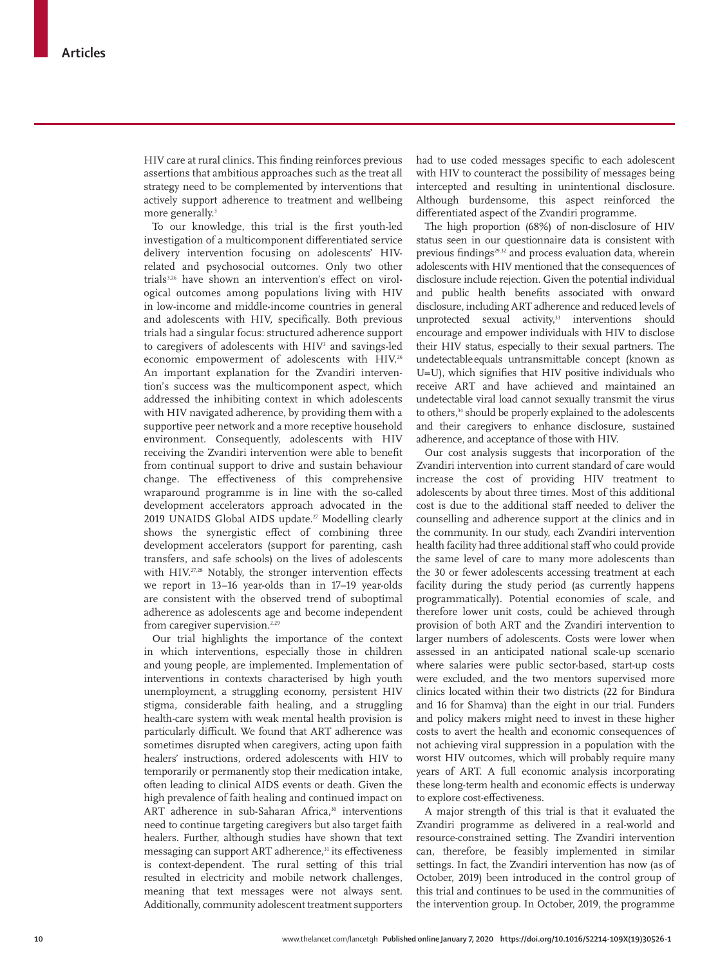HIV care at rural clinics. This finding reinforces previous assertions that ambitious approaches such as the treat all strategy need to be complemented by interventions that actively support adherence to treatment and wellbeing more generally.<sup>3</sup>

To our knowledge, this trial is the first youth-led investigation of a multicomponent differentiated service delivery intervention focusing on adolescents' HIVrelated and psychosocial outcomes. Only two other trials3,26 have shown an intervention's effect on virological outcomes among populations living with HIV in low-income and middle-income countries in general and adolescents with HIV, specifically. Both previous trials had a singular focus: structured adherence support to caregivers of adolescents with HIV<sup>3</sup> and savings-led economic empowerment of adolescents with HIV.<sup>26</sup> An important explanation for the Zvandiri intervention's success was the multicomponent aspect, which addressed the inhibiting context in which adolescents with HIV navigated adherence, by providing them with a supportive peer network and a more receptive household environment. Consequently, adolescents with HIV receiving the Zvandiri intervention were able to benefit from continual support to drive and sustain behaviour change. The effectiveness of this comprehensive wraparound programme is in line with the so-called development accelerators approach advocated in the 2019 UNAIDS Global AIDS update.<sup>27</sup> Modelling clearly shows the synergistic effect of combining three development accelerators (support for parenting, cash transfers, and safe schools) on the lives of adolescents with HIV.<sup>27,28</sup> Notably, the stronger intervention effects we report in 13−16 year-olds than in 17–19 year-olds are consistent with the observed trend of suboptimal adherence as adolescents age and become independent from caregiver supervision.<sup>2,29</sup>

Our trial highlights the importance of the context in which interventions, especially those in children and young people, are implemented. Implementation of interventions in contexts characterised by high youth unemployment, a struggling economy, persistent HIV stigma, considerable faith healing, and a struggling health-care system with weak mental health provision is particularly difficult. We found that ART adherence was sometimes disrupted when caregivers, acting upon faith healers' instructions, ordered adolescents with HIV to temporarily or permanently stop their medication intake, often leading to clinical AIDS events or death. Given the high prevalence of faith healing and continued impact on ART adherence in sub-Saharan Africa,<sup>30</sup> interventions need to continue targeting caregivers but also target faith healers. Further, although studies have shown that text messaging can support ART adherence,<sup>31</sup> its effectiveness is context-dependent. The rural setting of this trial resulted in electricity and mobile network challenges, meaning that text messages were not always sent. Additionally, community adolescent treatment supporters

had to use coded messages specific to each adolescent with HIV to counteract the possibility of messages being intercepted and resulting in unintentional disclosure. Although burdensome, this aspect reinforced the differentiated aspect of the Zvandiri programme.

The high proportion (68%) of non-disclosure of HIV status seen in our questionnaire data is consistent with previous findings<sup>29,32</sup> and process evaluation data, wherein adolescents with HIV mentioned that the consequences of disclosure include rejection. Given the potential individual and public health benefits associated with onward disclosure, including ART adherence and reduced levels of unprotected sexual activity,<sup>33</sup> interventions should encourage and empower individuals with HIV to disclose their HIV status, especially to their sexual partners. The undetectableequals untransmittable concept (known as U=U), which signifies that HIV positive individuals who receive ART and have achieved and maintained an undetectable viral load cannot sexually transmit the virus to others,<sup>34</sup> should be properly explained to the adolescents and their caregivers to enhance disclosure, sustained adherence, and acceptance of those with HIV.

Our cost analysis suggests that incorporation of the Zvandiri intervention into current standard of care would increase the cost of providing HIV treatment to adolescents by about three times. Most of this additional cost is due to the additional staff needed to deliver the counselling and adherence support at the clinics and in the community. In our study, each Zvandiri intervention health facility had three additional staff who could provide the same level of care to many more adolescents than the 30 or fewer adolescents accessing treatment at each facility during the study period (as currently happens programmatically). Potential economies of scale, and therefore lower unit costs, could be achieved through provision of both ART and the Zvandiri intervention to larger numbers of adolescents. Costs were lower when assessed in an anticipated national scale-up scenario where salaries were public sector-based, start-up costs were excluded, and the two mentors supervised more clinics located within their two districts (22 for Bindura and 16 for Shamva) than the eight in our trial. Funders and policy makers might need to invest in these higher costs to avert the health and economic consequences of not achieving viral suppression in a population with the worst HIV outcomes, which will probably require many years of ART. A full economic analysis incorporating these long-term health and economic effects is underway to explore cost-effectiveness.

A major strength of this trial is that it evaluated the Zvandiri programme as delivered in a real-world and resource-constrained setting. The Zvandiri intervention can, therefore, be feasibly implemented in similar settings. In fact, the Zvandiri intervention has now (as of October, 2019) been introduced in the control group of this trial and continues to be used in the communities of the intervention group. In October, 2019, the programme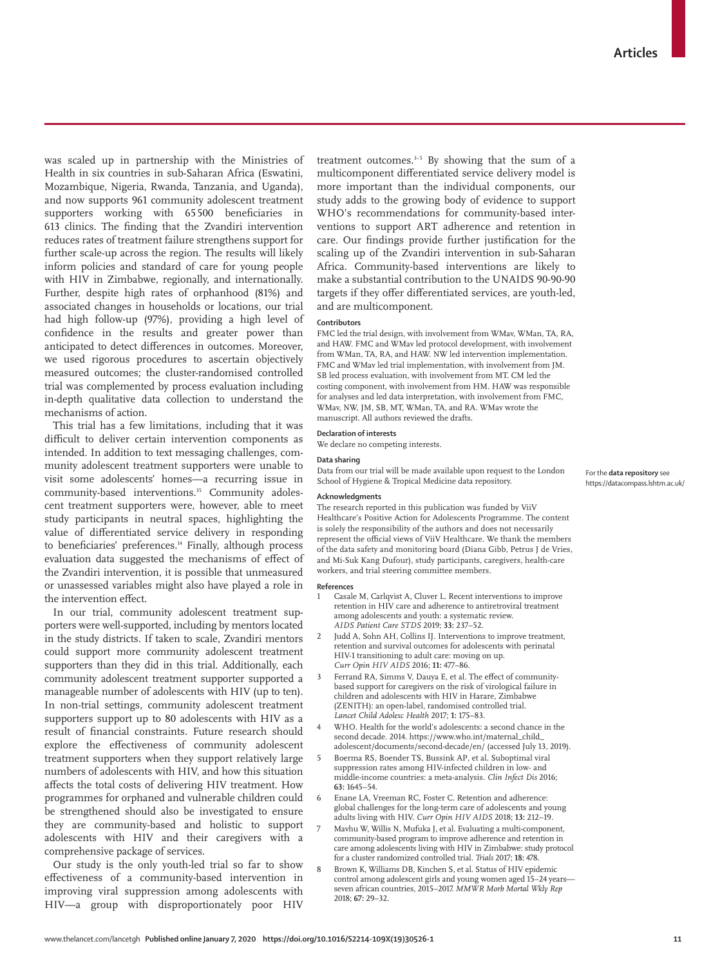was scaled up in partnership with the Ministries of Health in six countries in sub-Saharan Africa (Eswatini, Mozambique, Nigeria, Rwanda, Tanzania, and Uganda), and now supports 961 community adolescent treatment supporters working with 65500 beneficiaries in 613 clinics. The finding that the Zvandiri intervention reduces rates of treatment failure strengthens support for further scale-up across the region. The results will likely inform policies and standard of care for young people with HIV in Zimbabwe, regionally, and internationally. Further, despite high rates of orphanhood (81%) and associated changes in households or locations, our trial had high follow-up (97%), providing a high level of confidence in the results and greater power than anticipated to detect differences in outcomes. Moreover, we used rigorous procedures to ascertain objectively measured outcomes; the cluster-randomised controlled trial was complemented by process evaluation including in-depth qualitative data collection to understand the mechanisms of action.

This trial has a few limitations, including that it was difficult to deliver certain intervention components as intended. In addition to text messaging challenges, community adolescent treatment supporters were unable to visit some adolescents' homes—a recurring issue in community-based interventions.<sup>35</sup> Community adolescent treatment supporters were, however, able to meet study participants in neutral spaces, highlighting the value of differentiated service delivery in responding to beneficiaries' preferences.<sup>14</sup> Finally, although process evaluation data suggested the mechanisms of effect of the Zvandiri intervention, it is possible that unmeasured or unassessed variables might also have played a role in the intervention effect.

In our trial, community adolescent treatment supporters were well-supported, including by mentors located in the study districts. If taken to scale, Zvandiri mentors could support more community adolescent treatment supporters than they did in this trial. Additionally, each community adolescent treatment supporter supported a manageable number of adolescents with HIV (up to ten). In non-trial settings, community adolescent treatment supporters support up to 80 adolescents with HIV as a result of financial constraints. Future research should explore the effectiveness of community adolescent treatment supporters when they support relatively large numbers of adolescents with HIV, and how this situation affects the total costs of delivering HIV treatment. How programmes for orphaned and vulnerable children could be strengthened should also be investigated to ensure they are community-based and holistic to support adolescents with HIV and their caregivers with a comprehensive package of services.

Our study is the only youth-led trial so far to show effectiveness of a community-based intervention in improving viral suppression among adolescents with HIV—a group with disproportionately poor HIV treatment outcomes.3−5 By showing that the sum of a multicomponent differentiated service delivery model is more important than the individual components, our study adds to the growing body of evidence to support WHO's recommendations for community-based interventions to support ART adherence and retention in care. Our findings provide further justification for the scaling up of the Zvandiri intervention in sub-Saharan Africa. Community-based interventions are likely to make a substantial contribution to the UNAIDS 90-90-90 targets if they offer differentiated services, are youth-led, and are multicomponent.

#### **Contributors**

FMC led the trial design, with involvement from WMav, WMan, TA, RA, and HAW. FMC and WMav led protocol development, with involvement from WMan, TA, RA, and HAW. NW led intervention implementation. FMC and WMav led trial implementation, with involvement from JM. SB led process evaluation, with involvement from MT. CM led the costing component, with involvement from HM. HAW was responsible for analyses and led data interpretation, with involvement from FMC, WMav, NW, JM, SB, MT, WMan, TA, and RA. WMav wrote the manuscript. All authors reviewed the drafts.

#### **Declaration of interests**

We declare no competing interests.

#### **Data sharing**

[Data](https://datacompass.lshtm.ac.uk/) from our trial will be made available upon request to the London School of Hygiene & Tropical Medicine data repository.

#### **Acknowledgments**

The research reported in this publication was funded by ViiV Healthcare's Positive Action for Adolescents Programme. The content is solely the responsibility of the authors and does not necessarily represent the official views of ViiV Healthcare. We thank the members of the data safety and monitoring board (Diana Gibb, Petrus J de Vries, and Mi-Suk Kang Dufour), study participants, caregivers, health-care workers, and trial steering committee members.

#### **References**

- Casale M, Carlqvist A, Cluver L. Recent interventions to improve retention in HIV care and adherence to antiretroviral treatment among adolescents and youth: a systematic review. *AIDS Patient Care STDS* 2019; **33:** 237−52.
- Judd A, Sohn AH, Collins IJ. Interventions to improve treatment, retention and survival outcomes for adolescents with perinatal HIV-1 transitioning to adult care: moving on up. *Curr Opin HIV AIDS* 2016; **11:** 477−86.
- Ferrand RA, Simms V, Dauya E, et al. The effect of communitybased support for caregivers on the risk of virological failure in children and adolescents with HIV in Harare, Zimbabwe (ZENITH): an open-label, randomised controlled trial. *Lancet Child Adolesc Health* 2017; **1:** 175−83.
- WHO. Health for the world's adolescents: a second chance in the second decade. 2014. https://www.who.int/maternal\_child\_ adolescent/documents/second-decade/en/ (accessed July 13, 2019).
- 5 Boerma RS, Boender TS, Bussink AP, et al. Suboptimal viral suppression rates among HIV-infected children in low- and middle-income countries: a meta-analysis. *Clin Infect Dis* 2016; **63:** 1645−54.
- 6 Enane LA, Vreeman RC, Foster C. Retention and adherence: global challenges for the long-term care of adolescents and young adults living with HIV. *Curr Opin HIV AIDS* 2018; **13:** 212−19.
- 7 Mavhu W, Willis N, Mufuka J, et al. Evaluating a multi-component, community-based program to improve adherence and retention in care among adolescents living with HIV in Zimbabwe: study protocol for a cluster randomized controlled trial. *Trials* 2017; **18:** 478.
- 8 Brown K, Williams DB, Kinchen S, et al. Status of HIV epidemic control among adolescent girls and young women aged 15−24 years seven african countries, 2015−2017. *MMWR Morb Mortal Wkly Rep* 2018; **67:** 29−32.

For the **data repository** see <https://datacompass.lshtm.ac.uk/>